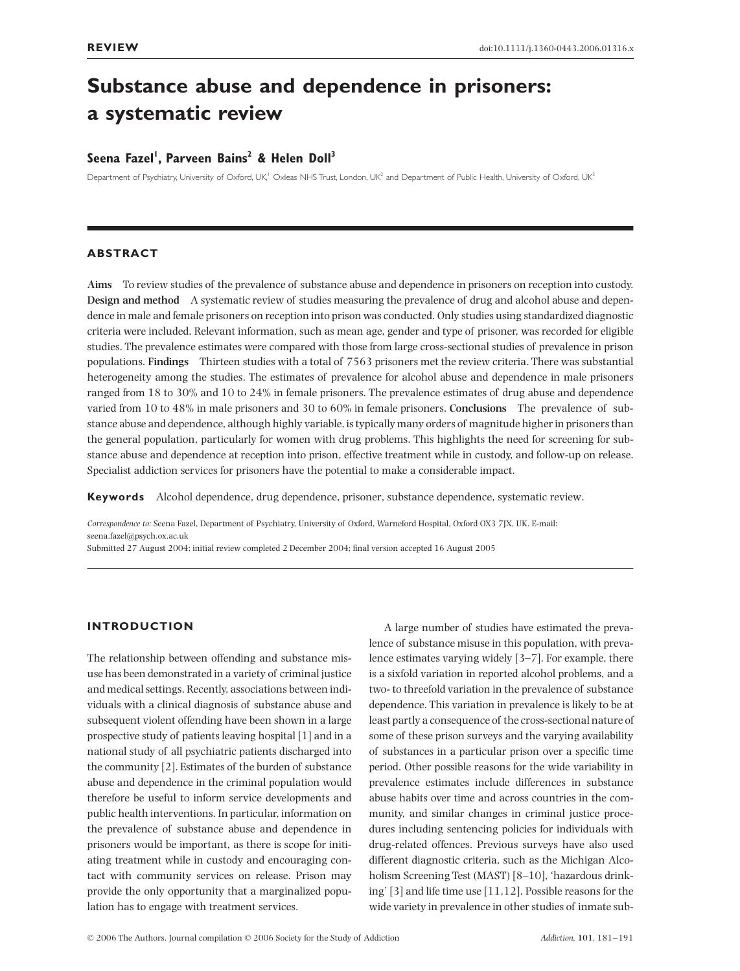# **Substance abuse and dependence in prisoners: a systematic review**

## **Seena Fazel1 , Parveen Bains2 & Helen Doll3**

Department of Psychiatry, University of Oxford, UK,<sup>1</sup> Oxleas NHS Trust, London, UK<sup>2</sup> and Department of Public Health, University of Oxford, UK<sup>3</sup>

## **ABSTRACT**

**Aims** To review studies of the prevalence of substance abuse and dependence in prisoners on reception into custody. **Design and method** A systematic review of studies measuring the prevalence of drug and alcohol abuse and dependence in male and female prisoners on reception into prison was conducted. Only studies using standardized diagnostic criteria were included. Relevant information, such as mean age, gender and type of prisoner, was recorded for eligible studies. The prevalence estimates were compared with those from large cross-sectional studies of prevalence in prison populations. **Findings** Thirteen studies with a total of 7563 prisoners met the review criteria. There was substantial heterogeneity among the studies. The estimates of prevalence for alcohol abuse and dependence in male prisoners ranged from 18 to 30% and 10 to 24% in female prisoners. The prevalence estimates of drug abuse and dependence varied from 10 to 48% in male prisoners and 30 to 60% in female prisoners. **Conclusions** The prevalence of substance abuse and dependence, although highly variable, is typically many orders of magnitude higher in prisoners than the general population, particularly for women with drug problems. This highlights the need for screening for substance abuse and dependence at reception into prison, effective treatment while in custody, and follow-up on release. Specialist addiction services for prisoners have the potential to make a considerable impact.

**Keywords** Alcohol dependence, drug dependence, prisoner, substance dependence, systematic review.

*Correspondence to:* Seena Fazel, Department of Psychiatry, University of Oxford, Warneford Hospital, Oxford OX3 7JX, UK. E-mail: seena.fazel@psych.ox.ac.uk

Submitted 27 August 2004; initial review completed 2 December 2004; final version accepted 16 August 2005

## **INTRODUCTION**

The relationship between offending and substance misuse has been demonstrated in a variety of criminal justice and medical settings. Recently, associations between individuals with a clinical diagnosis of substance abuse and subsequent violent offending have been shown in a large prospective study of patients leaving hospital [1] and in a national study of all psychiatric patients discharged into the community [2]. Estimates of the burden of substance abuse and dependence in the criminal population would therefore be useful to inform service developments and public health interventions. In particular, information on the prevalence of substance abuse and dependence in prisoners would be important, as there is scope for initiating treatment while in custody and encouraging contact with community services on release. Prison may provide the only opportunity that a marginalized population has to engage with treatment services.

A large number of studies have estimated the prevalence of substance misuse in this population, with prevalence estimates varying widely [3–7]. For example, there is a sixfold variation in reported alcohol problems, and a two- to threefold variation in the prevalence of substance dependence. This variation in prevalence is likely to be at least partly a consequence of the cross-sectional nature of some of these prison surveys and the varying availability of substances in a particular prison over a specific time period. Other possible reasons for the wide variability in prevalence estimates include differences in substance abuse habits over time and across countries in the community, and similar changes in criminal justice procedures including sentencing policies for individuals with drug-related offences. Previous surveys have also used different diagnostic criteria, such as the Michigan Alcoholism Screening Test (MAST) [8–10], 'hazardous drinking' [3] and life time use [11,12]. Possible reasons for the wide variety in prevalence in other studies of inmate sub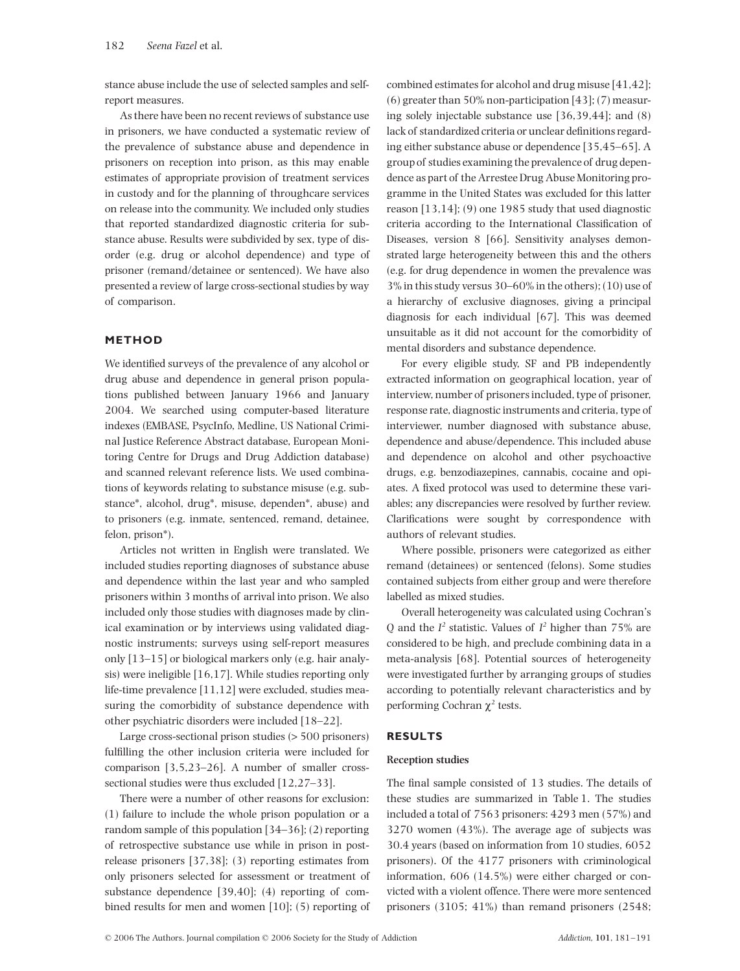stance abuse include the use of selected samples and selfreport measures.

As there have been no recent reviews of substance use in prisoners, we have conducted a systematic review of the prevalence of substance abuse and dependence in prisoners on reception into prison, as this may enable estimates of appropriate provision of treatment services in custody and for the planning of throughcare services on release into the community. We included only studies that reported standardized diagnostic criteria for substance abuse. Results were subdivided by sex, type of disorder (e.g. drug or alcohol dependence) and type of prisoner (remand/detainee or sentenced). We have also presented a review of large cross-sectional studies by way of comparison.

## **METHOD**

We identified surveys of the prevalence of any alcohol or drug abuse and dependence in general prison populations published between January 1966 and January 2004. We searched using computer-based literature indexes (EMBASE, PsycInfo, Medline, US National Criminal Justice Reference Abstract database, European Monitoring Centre for Drugs and Drug Addiction database) and scanned relevant reference lists. We used combinations of keywords relating to substance misuse (e.g. substance\*, alcohol, drug\*, misuse, dependen\*, abuse) and to prisoners (e.g. inmate, sentenced, remand, detainee, felon, prison\*).

Articles not written in English were translated. We included studies reporting diagnoses of substance abuse and dependence within the last year and who sampled prisoners within 3 months of arrival into prison. We also included only those studies with diagnoses made by clinical examination or by interviews using validated diagnostic instruments; surveys using self-report measures only [13–15] or biological markers only (e.g. hair analysis) were ineligible [16,17]. While studies reporting only life-time prevalence [11,12] were excluded, studies measuring the comorbidity of substance dependence with other psychiatric disorders were included [18–22].

Large cross-sectional prison studies (> 500 prisoners) fulfilling the other inclusion criteria were included for comparison [3,5,23–26]. A number of smaller crosssectional studies were thus excluded [12,27–33].

There were a number of other reasons for exclusion: (1) failure to include the whole prison population or a random sample of this population [34–36]; (2) reporting of retrospective substance use while in prison in postrelease prisoners [37,38]; (3) reporting estimates from only prisoners selected for assessment or treatment of substance dependence [39,40]; (4) reporting of combined results for men and women [10]; (5) reporting of combined estimates for alcohol and drug misuse [41,42]; (6) greater than 50% non-participation [43]; (7) measuring solely injectable substance use [36,39,44]; and (8) lack of standardized criteria or unclear definitions regarding either substance abuse or dependence [35,45–65]. A group of studies examining the prevalence of drug dependence as part of the Arrestee Drug Abuse Monitoring programme in the United States was excluded for this latter reason [13,14]; (9) one 1985 study that used diagnostic criteria according to the International Classification of Diseases, version 8 [66]. Sensitivity analyses demonstrated large heterogeneity between this and the others (e.g. for drug dependence in women the prevalence was 3% in this study versus 30–60% in the others); (10) use of a hierarchy of exclusive diagnoses, giving a principal diagnosis for each individual [67]. This was deemed unsuitable as it did not account for the comorbidity of mental disorders and substance dependence.

For every eligible study, SF and PB independently extracted information on geographical location, year of interview, number of prisoners included, type of prisoner, response rate, diagnostic instruments and criteria, type of interviewer, number diagnosed with substance abuse, dependence and abuse/dependence. This included abuse and dependence on alcohol and other psychoactive drugs, e.g. benzodiazepines, cannabis, cocaine and opiates. A fixed protocol was used to determine these variables; any discrepancies were resolved by further review. Clarifications were sought by correspondence with authors of relevant studies.

Where possible, prisoners were categorized as either remand (detainees) or sentenced (felons). Some studies contained subjects from either group and were therefore labelled as mixed studies.

Overall heterogeneity was calculated using Cochran's Q and the  $I^2$  statistic. Values of  $I^2$  higher than 75% are considered to be high, and preclude combining data in a meta-analysis [68]. Potential sources of heterogeneity were investigated further by arranging groups of studies according to potentially relevant characteristics and by performing Cochran  $χ²$  tests.

#### **RESULTS**

#### **Reception studies**

The final sample consisted of 13 studies. The details of these studies are summarized in Table 1. The studies included a total of 7563 prisoners: 4293 men (57%) and 3270 women (43%). The average age of subjects was 30.4 years (based on information from 10 studies, 6052 prisoners). Of the 4177 prisoners with criminological information, 606 (14.5%) were either charged or convicted with a violent offence. There were more sentenced prisoners (3105; 41%) than remand prisoners (2548;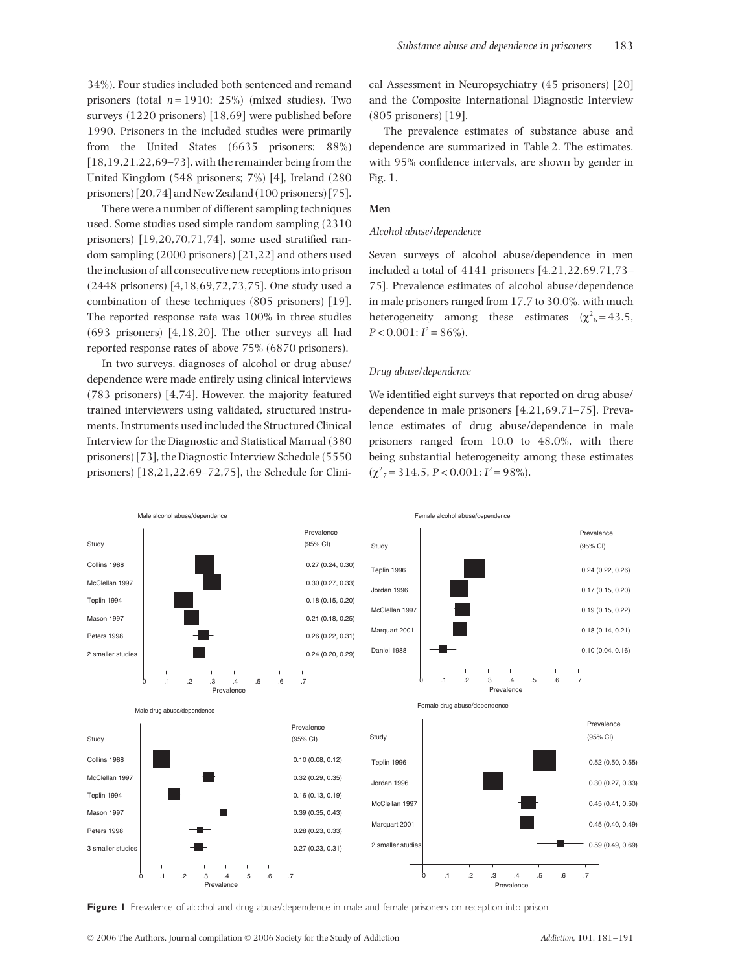34%). Four studies included both sentenced and remand prisoners (total  $n = 1910$ ; 25%) (mixed studies). Two surveys (1220 prisoners) [18,69] were published before 1990. Prisoners in the included studies were primarily from the United States (6635 prisoners; 88%) [18,19,21,22,69–73], with the remainder being from the United Kingdom (548 prisoners; 7%) [4], Ireland (280 prisoners) [20,74] and New Zealand (100 prisoners) [75].

There were a number of different sampling techniques used. Some studies used simple random sampling (2310 prisoners) [19,20,70,71,74], some used stratified random sampling (2000 prisoners) [21,22] and others used the inclusion of all consecutive new receptions into prison (2448 prisoners) [4,18,69,72,73,75]. One study used a combination of these techniques (805 prisoners) [19]. The reported response rate was 100% in three studies (693 prisoners) [4,18,20]. The other surveys all had reported response rates of above 75% (6870 prisoners).

In two surveys, diagnoses of alcohol or drug abuse/ dependence were made entirely using clinical interviews (783 prisoners) [4,74]. However, the majority featured trained interviewers using validated, structured instruments. Instruments used included the Structured Clinical Interview for the Diagnostic and Statistical Manual (380 prisoners) [73], the Diagnostic Interview Schedule (5550 prisoners) [18,21,22,69–72,75], the Schedule for Clinical Assessment in Neuropsychiatry (45 prisoners) [20] and the Composite International Diagnostic Interview (805 prisoners) [19].

The prevalence estimates of substance abuse and dependence are summarized in Table 2. The estimates, with 95% confidence intervals, are shown by gender in Fig. 1.

#### **Men**

#### *Alcohol abuse/dependence*

Seven surveys of alcohol abuse/dependence in men included a total of 4141 prisoners [4,21,22,69,71,73– 75]. Prevalence estimates of alcohol abuse/dependence in male prisoners ranged from 17.7 to 30.0%, with much heterogeneity among these estimates  $(\chi^2_{6} = 43.5,$  $P < 0.001$ ;  $I^2 = 86\%$ ).

#### *Drug abuse/dependence*

We identified eight surveys that reported on drug abuse/ dependence in male prisoners [4,21,69,71–75]. Prevalence estimates of drug abuse/dependence in male prisoners ranged from 10.0 to 48.0%, with there being substantial heterogeneity among these estimates  $(\chi^2_{7} = 314.5, P < 0.001; I^2 = 98\%).$ 



**Figure 1** Prevalence of alcohol and drug abuse/dependence in male and female prisoners on reception into prison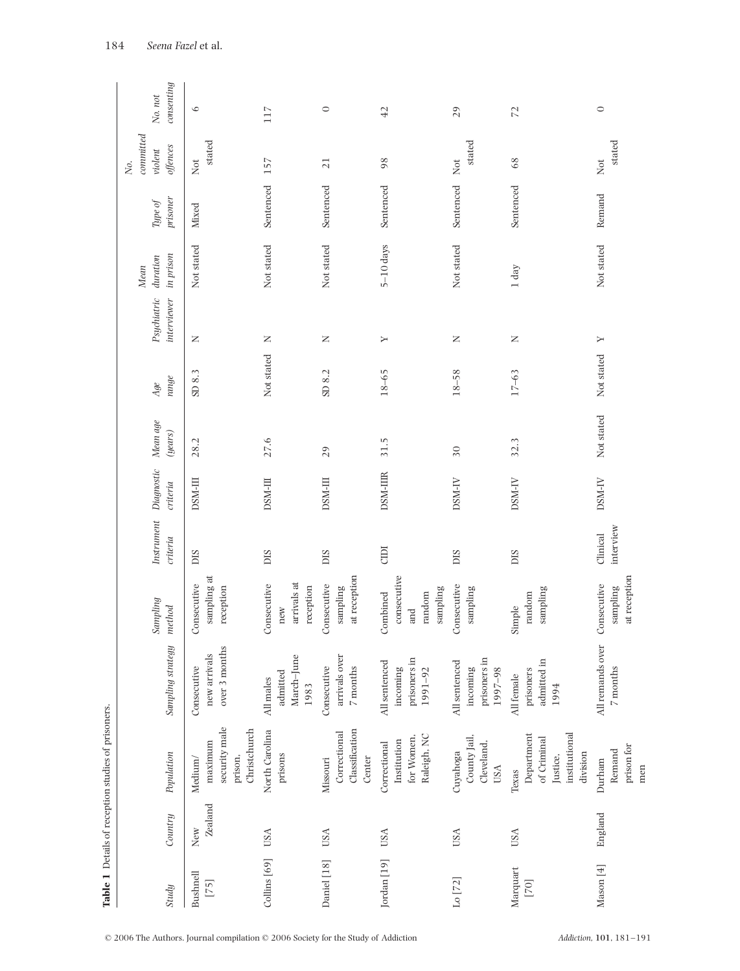|                       |                | Table 1 Details of reception studies of prisoners.                          |                                                      |                                                      |                        |                        |                     |                |                            |                                  |                     |                                           |                             |
|-----------------------|----------------|-----------------------------------------------------------------------------|------------------------------------------------------|------------------------------------------------------|------------------------|------------------------|---------------------|----------------|----------------------------|----------------------------------|---------------------|-------------------------------------------|-----------------------------|
| Study                 | Country        | Population                                                                  | Sampling strategy                                    | Sampling<br>method                                   | Instrument<br>criteria | Diagnostic<br>criteria | Mean age<br>(years) | range<br>$Age$ | Psychiatric<br>interviewer | in prison<br>$d$ uration<br>Mean | prisoner<br>Type of | committed<br>offences<br>$violent$<br>No. | consenting<br>No. $\it not$ |
| Bushnell<br>$[75]$    | Zealand<br>New | security male<br>Christchurch<br>maximum<br>prison,<br>Medium/              | over 3 months<br>new arrivals<br>Consecutive         | sampling at<br>Consecutive<br>reception              | DIS                    | DSM-III                | 28.2                | SD 8.3         | z                          | Not stated                       | Mixed               | stated<br>Not                             | $\circ$                     |
| Collins [69]          | <b>USA</b>     | North Carolina<br>prisons                                                   | March-June<br>admitted<br>All males<br>1983          | arrivals at<br>Consecutive<br>reception<br>new       | DIS                    | DSM-III                | 27.6                | Not stated     | Z                          | Not stated                       | Sentenced           | 157                                       | 117                         |
| Daniel [18]           | <b>USA</b>     | Classification<br>Correctional<br>Center<br>Missouri                        | arrivals over<br>Consecutive<br>$7$ months           | at reception<br>Consecutive<br>sampling              | DIS                    | DSM-III                | 29                  | SD 8.2         | Z                          | Not stated                       | Sentenced           | 21                                        | $\circ$                     |
| Jordan [19]           | USA            | Raleigh, NC<br>for Women,<br>Institution<br>Correctional                    | prisoners in<br>All sentenced<br>incoming<br>1991-92 | consecutive<br>sampling<br>random<br>Combined<br>and | CIDI                   | <b>DSM-IIIR</b>        | 31.5                | $18 - 65$      | Υ                          | $5-10$ days                      | Sentenced           | 98                                        | 42                          |
| Lo $\left[ 72\right]$ | USA            | County Jail,<br>Cleveland,<br>Cuyahoga<br><b>USA</b>                        | prisoners in<br>All sentenced<br>incoming<br>1997-98 | Consecutive<br>sampling                              | DIS                    | DSM-IV                 | $30\,$              | $18 - 58$      | Z                          | Not stated                       | Sentenced           | stated<br>Not                             | 29                          |
| Marquart<br>$[70]$    | USA            | institutional<br>Department<br>of Criminal<br>division<br>Justice,<br>Texas | admitted in<br>prisoners<br>All female<br>1994       | sampling<br>random<br>Simple                         | DIS                    | DSM-IV                 | 32.3                | $17 - 63$      | $\mathbb Z$                | $1~{\rm day}$                    | Sentenced           | $68\,$                                    | $\mathbb{Z}$                |
| Mason [4]             | England        | prison for<br>Remand<br>Durham<br>men                                       | All remands over<br>$7$ months                       | at reception<br>Consecutive<br>sampling              | interview<br>Clinical  | DSM-IV                 | Not stated          | Not stated     | Σ                          | Not stated                       | Remand              | stated<br>Not                             | $\circ$                     |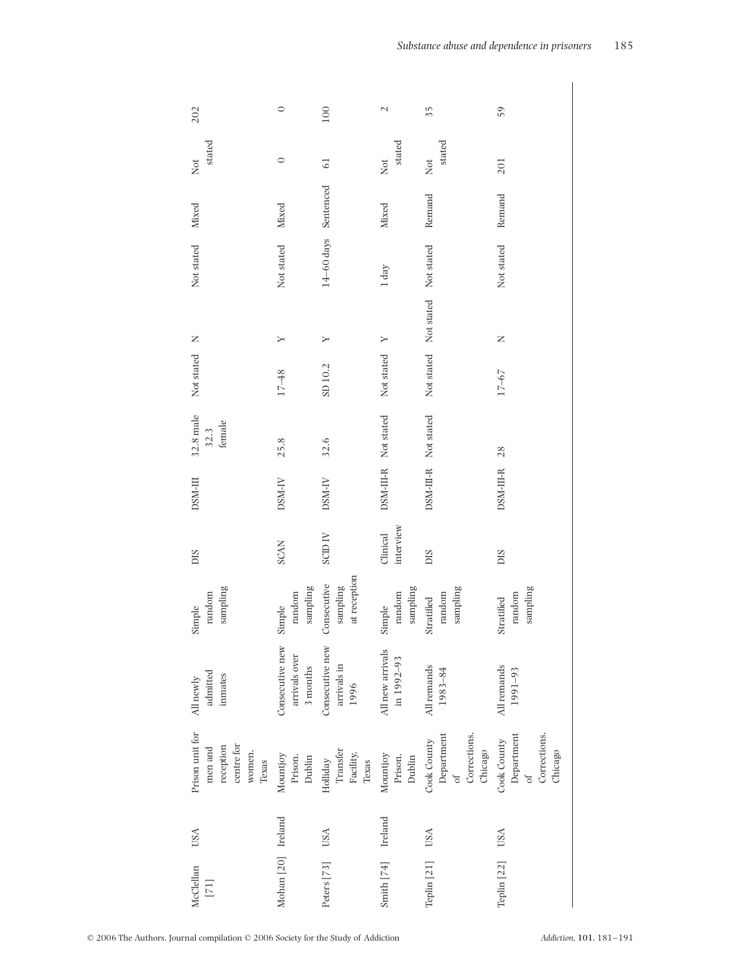| 202                                                                      | $\circ$                                       | 100                                        | $\mathcal{L}$                  | $\frac{5}{2}$                                                      | 59                                                               |
|--------------------------------------------------------------------------|-----------------------------------------------|--------------------------------------------|--------------------------------|--------------------------------------------------------------------|------------------------------------------------------------------|
| stated<br>Not                                                            | $\circ$                                       | $\overline{61}$                            | stated<br>Not                  | stated<br>Not                                                      | 201                                                              |
| Mixed                                                                    | Mixed                                         | Sentenced                                  | Mixed                          | Remand                                                             | Remand                                                           |
| Not stated                                                               | Not stated                                    | $14\text{--}60\,\mathrm{days}$             | $1 \mathrm{day}$               | Not stated                                                         | Not stated                                                       |
| $\mathsf{z}$                                                             | Σ                                             | χ                                          | $\geq$                         | Not stated                                                         | $\mathsf{z}$                                                     |
| Not stated                                                               | $17 - 48$                                     | SD 10.2                                    | Not stated                     | Not stated                                                         | $17 - 67$                                                        |
| $32.8$ male<br>female<br>32.3                                            | 25.8                                          | 32.6                                       |                                | Not stated                                                         | 28                                                               |
| DSM-III                                                                  | DSM-IV                                        | DSM-IV                                     | DSM-III-R Not stated           | DSM-III-R                                                          | DSM-III-R                                                        |
| DIS                                                                      | <b>SCAN</b>                                   | SCID <sub>IV</sub>                         | interview<br>Clinical          | DIS                                                                | SIC                                                              |
| sampling<br>random<br>Simple                                             | sampling<br>$\operatorname{random}$<br>Simple | at reception<br>Consecutive<br>sampling    | sampling<br>random<br>Simple   | sampling<br>random<br>Stratified                                   | sampling<br>random<br>Stratified                                 |
| admitted<br>inmates<br>All newly                                         | Consecutive new<br>arrivals over<br>3 months  | Consecutive new<br>arrivals in<br>1996     | All new arrivals<br>in 1992-93 | All remands<br>1983-84                                             | All remands<br>1991-93                                           |
| Prison unit for<br>centre for<br>reception<br>men and<br>women,<br>Texas | Mountjoy<br>Prison,<br>Dublin                 | Transfer<br>Facility,<br>Holliday<br>Texas | Mountjoy<br>Prison,<br>Dublin  | Department<br>Corrections,<br>Cook County<br>Chicago<br>$\sigma$ f | Department<br>Corrections,<br>Cook County<br>Chicago<br>$\sigma$ |
| USA                                                                      |                                               | <b>USA</b>                                 | Ireland                        | USA                                                                | <b>USA</b>                                                       |
| McClellan<br>$[71] \label{eq:1}$                                         | Mohan [20] Ireland                            | Peters [73]                                | Smith $[74]$                   | Teplin [21]                                                        | Teplin [22]                                                      |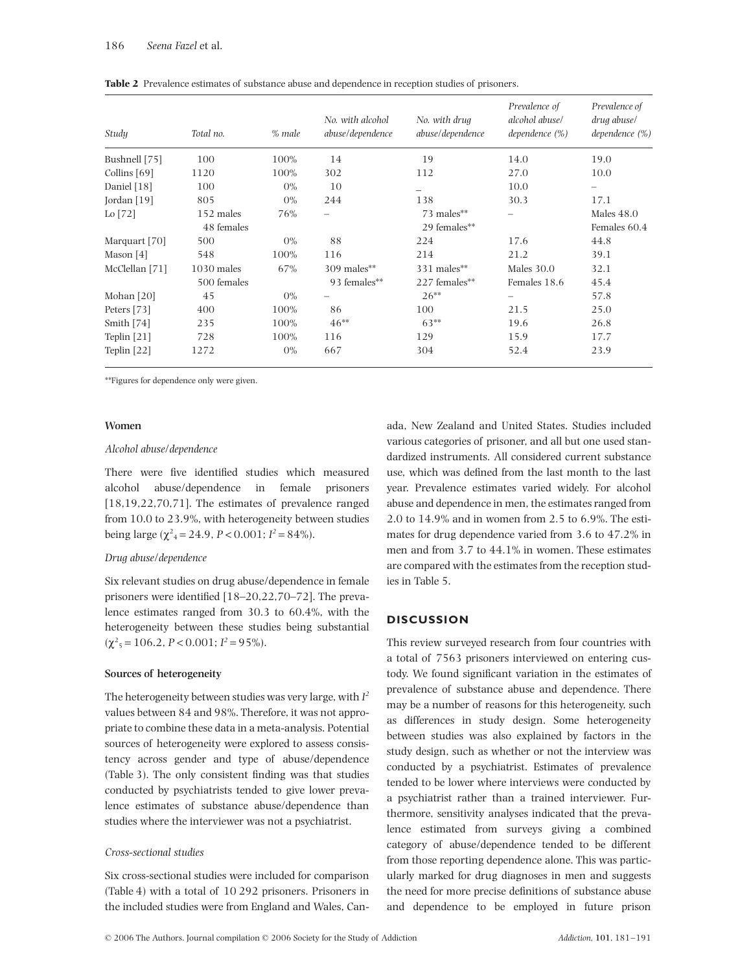| Study          | Total no.    | % male | No. with alcohol<br>abuse/dependence | No. with drug<br>abuse/dependence | Prevalence of<br>alcohol abuse/<br>dependence $(\%)$ | Prevalence of<br>drug abuse/<br>dependence $(\%)$ |
|----------------|--------------|--------|--------------------------------------|-----------------------------------|------------------------------------------------------|---------------------------------------------------|
| Bushnell [75]  | 100          | 100%   | 14                                   | 19                                | 14.0                                                 | 19.0                                              |
| Collins [69]   | 1120         | 100%   | 302                                  | 112                               | 27.0                                                 | 10.0                                              |
| Daniel [18]    | 100          | $0\%$  | 10                                   |                                   | 10.0                                                 |                                                   |
| Jordan $[19]$  | 805          | $0\%$  | 244                                  | 138                               | 30.3                                                 | 17.1                                              |
| Lo $[72]$      | 152 males    | 76%    | $\overline{\phantom{0}}$             | 73 males**                        |                                                      | Males $48.0$                                      |
|                | 48 females   |        |                                      | 29 females**                      |                                                      | Females 60.4                                      |
| Marquart [70]  | 500          | $0\%$  | 88                                   | 224                               | 17.6                                                 | 44.8                                              |
| Mason [4]      | 548          | 100%   | 116                                  | 214                               | 21.2                                                 | 39.1                                              |
| McClellan [71] | $1030$ males | 67%    | $309$ males**                        | 331 males**                       | Males $30.0$                                         | 32.1                                              |
|                | 500 females  |        | 93 females**                         | 227 females**                     | Females 18.6                                         | 45.4                                              |
| Mohan $[20]$   | 45           | $0\%$  |                                      | $26**$                            | -                                                    | 57.8                                              |
| Peters [73]    | 400          | 100%   | 86                                   | 100                               | 21.5                                                 | 25.0                                              |
| Smith $[74]$   | 235          | 100%   | $46**$                               | $63**$                            | 19.6                                                 | 26.8                                              |
| Teplin $[21]$  | 728          | 100%   | 116                                  | 129                               | 15.9                                                 | 17.7                                              |
| Teplin $[22]$  | 1272         | $0\%$  | 667                                  | 304                               | 52.4                                                 | 23.9                                              |

**Table 2** Prevalence estimates of substance abuse and dependence in reception studies of prisoners.

\*\*Figures for dependence only were given.

#### **Women**

#### *Alcohol abuse/dependence*

There were five identified studies which measured alcohol abuse/dependence in female prisoners [18,19,22,70,71]. The estimates of prevalence ranged from 10.0 to 23.9%, with heterogeneity between studies being large ( $\chi^2$ <sub>4</sub> = 24.9, *P* < 0.001; *I*<sup>2</sup> = 84%).

#### *Drug abuse/dependence*

Six relevant studies on drug abuse/dependence in female prisoners were identified [18–20,22,70–72]. The prevalence estimates ranged from 30.3 to 60.4%, with the heterogeneity between these studies being substantial  $(\chi^2_{5} = 106.2, P < 0.001; I^2 = 95\%).$ 

#### **Sources of heterogeneity**

The heterogeneity between studies was very large, with  $I^2$ values between 84 and 98%. Therefore, it was not appropriate to combine these data in a meta-analysis. Potential sources of heterogeneity were explored to assess consistency across gender and type of abuse/dependence (Table 3). The only consistent finding was that studies conducted by psychiatrists tended to give lower prevalence estimates of substance abuse/dependence than studies where the interviewer was not a psychiatrist.

## *Cross-sectional studies*

Six cross-sectional studies were included for comparison (Table 4) with a total of 10 292 prisoners. Prisoners in the included studies were from England and Wales, Can-

ada, New Zealand and United States. Studies included various categories of prisoner, and all but one used standardized instruments. All considered current substance use, which was defined from the last month to the last year. Prevalence estimates varied widely. For alcohol abuse and dependence in men, the estimates ranged from 2.0 to 14.9% and in women from 2.5 to 6.9%. The estimates for drug dependence varied from 3.6 to 47.2% in men and from 3.7 to 44.1% in women. These estimates are compared with the estimates from the reception studies in Table 5.

## **DISCUSSION**

This review surveyed research from four countries with a total of 7563 prisoners interviewed on entering custody. We found significant variation in the estimates of prevalence of substance abuse and dependence. There may be a number of reasons for this heterogeneity, such as differences in study design. Some heterogeneity between studies was also explained by factors in the study design, such as whether or not the interview was conducted by a psychiatrist. Estimates of prevalence tended to be lower where interviews were conducted by a psychiatrist rather than a trained interviewer. Furthermore, sensitivity analyses indicated that the prevalence estimated from surveys giving a combined category of abuse/dependence tended to be different from those reporting dependence alone. This was particularly marked for drug diagnoses in men and suggests the need for more precise definitions of substance abuse and dependence to be employed in future prison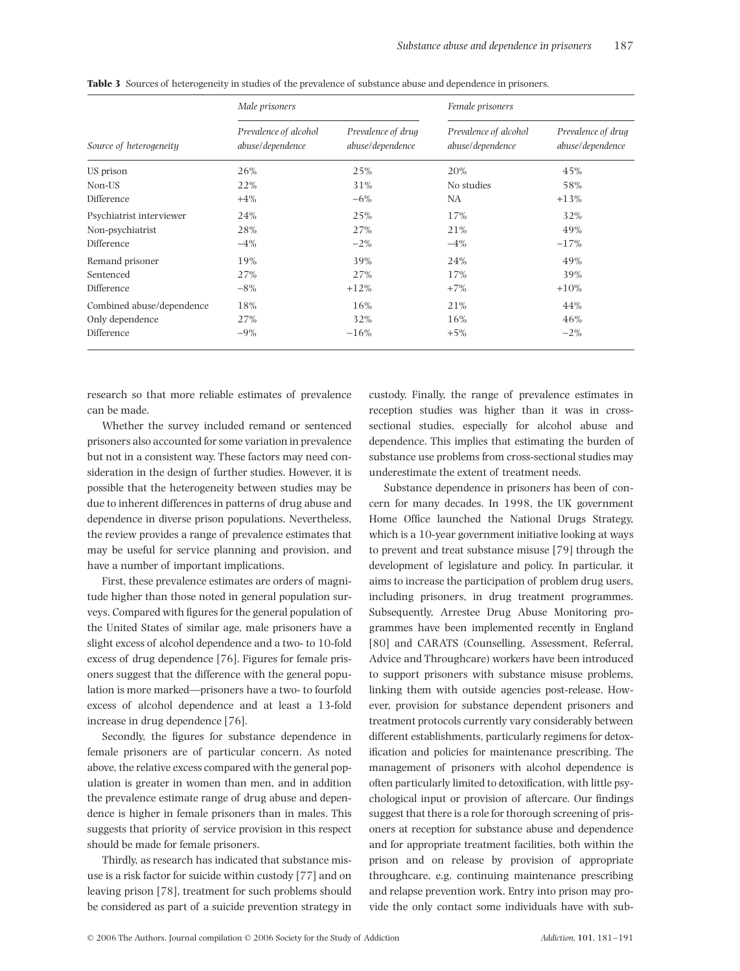|                           | Male prisoners                            |                                        | Female prisoners                          |                                        |  |
|---------------------------|-------------------------------------------|----------------------------------------|-------------------------------------------|----------------------------------------|--|
| Source of heterogeneity   | Prevalence of alcohol<br>abuse/dependence | Prevalence of drug<br>abuse/dependence | Prevalence of alcohol<br>abuse/dependence | Prevalence of drug<br>abuse/dependence |  |
| US prison                 | 26%                                       | 25%                                    | 20%                                       | 45%                                    |  |
| Non-US                    | 22%                                       | 31%                                    | No studies                                | 58%                                    |  |
| Difference                | $+4\%$                                    | $-6\%$                                 | NA                                        | $+13%$                                 |  |
| Psychiatrist interviewer  | 24%                                       | 25%                                    | 17%                                       | 32%                                    |  |
| Non-psychiatrist          | 28%                                       | 27%                                    | 21%                                       | 49%                                    |  |
| Difference                | $-4%$                                     | $-2\%$                                 | $-4\%$                                    | $-17%$                                 |  |
| Remand prisoner           | 19%                                       | 39%                                    | 24%                                       | 49%                                    |  |
| Sentenced                 | 27%                                       | 27%                                    | 17%                                       | 39%                                    |  |
| Difference                | $-8\%$                                    | $+12%$                                 | $+7\%$                                    | $+10%$                                 |  |
| Combined abuse/dependence | 18%                                       | 16%                                    | 21%                                       | 44%                                    |  |
| Only dependence           | 27%                                       | 32%                                    | 16%                                       | 46%                                    |  |
| Difference                | $-9\%$                                    | $-16%$                                 | $+5\%$                                    | $-2\%$                                 |  |

**Table 3** Sources of heterogeneity in studies of the prevalence of substance abuse and dependence in prisoners.

research so that more reliable estimates of prevalence can be made.

Whether the survey included remand or sentenced prisoners also accounted for some variation in prevalence but not in a consistent way. These factors may need consideration in the design of further studies. However, it is possible that the heterogeneity between studies may be due to inherent differences in patterns of drug abuse and dependence in diverse prison populations. Nevertheless, the review provides a range of prevalence estimates that may be useful for service planning and provision, and have a number of important implications.

First, these prevalence estimates are orders of magnitude higher than those noted in general population surveys. Compared with figures for the general population of the United States of similar age, male prisoners have a slight excess of alcohol dependence and a two- to 10-fold excess of drug dependence [76]. Figures for female prisoners suggest that the difference with the general population is more marked—prisoners have a two- to fourfold excess of alcohol dependence and at least a 13-fold increase in drug dependence [76].

Secondly, the figures for substance dependence in female prisoners are of particular concern. As noted above, the relative excess compared with the general population is greater in women than men, and in addition the prevalence estimate range of drug abuse and dependence is higher in female prisoners than in males. This suggests that priority of service provision in this respect should be made for female prisoners.

Thirdly, as research has indicated that substance misuse is a risk factor for suicide within custody [77] and on leaving prison [78], treatment for such problems should be considered as part of a suicide prevention strategy in

custody. Finally, the range of prevalence estimates in reception studies was higher than it was in crosssectional studies, especially for alcohol abuse and dependence. This implies that estimating the burden of substance use problems from cross-sectional studies may underestimate the extent of treatment needs.

Substance dependence in prisoners has been of concern for many decades. In 1998, the UK government Home Office launched the National Drugs Strategy, which is a 10-year government initiative looking at ways to prevent and treat substance misuse [79] through the development of legislature and policy. In particular, it aims to increase the participation of problem drug users, including prisoners, in drug treatment programmes. Subsequently, Arrestee Drug Abuse Monitoring programmes have been implemented recently in England [80] and CARATS (Counselling, Assessment, Referral, Advice and Throughcare) workers have been introduced to support prisoners with substance misuse problems, linking them with outside agencies post-release. However, provision for substance dependent prisoners and treatment protocols currently vary considerably between different establishments, particularly regimens for detoxification and policies for maintenance prescribing. The management of prisoners with alcohol dependence is often particularly limited to detoxification, with little psychological input or provision of aftercare. Our findings suggest that there is a role for thorough screening of prisoners at reception for substance abuse and dependence and for appropriate treatment facilities, both within the prison and on release by provision of appropriate throughcare, e.g. continuing maintenance prescribing and relapse prevention work. Entry into prison may provide the only contact some individuals have with sub-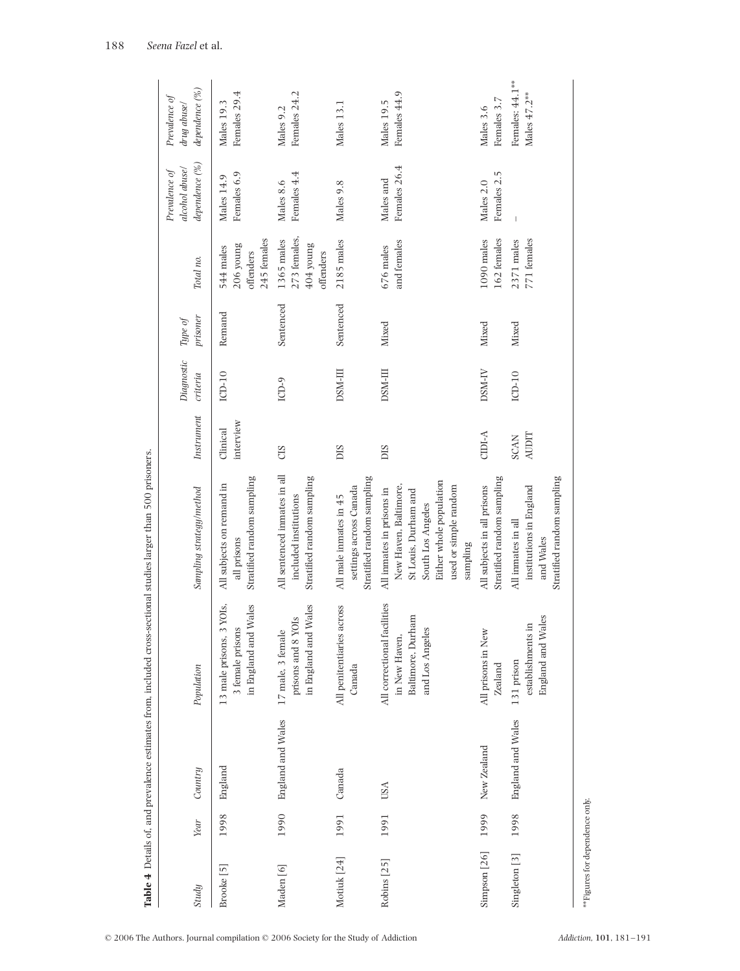|                       |      |                   |                                                                                            | <b>Table 4</b> Details of, and prevalence estimates from, included cross-sectional studies larger than 500 prisoners                                            |                             |                        |                     |                                                        |                                                   |                                                |
|-----------------------|------|-------------------|--------------------------------------------------------------------------------------------|-----------------------------------------------------------------------------------------------------------------------------------------------------------------|-----------------------------|------------------------|---------------------|--------------------------------------------------------|---------------------------------------------------|------------------------------------------------|
| Study                 | Year | Country           | Population                                                                                 | Sampling strategy/method                                                                                                                                        | Instrument                  | Diagnostic<br>criteria | prisoner<br>Type of | Total no.                                              | dependence (%)<br>alcohol abuse/<br>Prevalence of | dependence (%)<br>Prevalence of<br>drug abuse/ |
| Brooke <sup>[5]</sup> | 1998 | England           | 13 male prisons, 3 YOIs,<br>in England and Wales<br>3 female prisons                       | Stratified random sampling<br>All subjects on remand in<br>all prisons                                                                                          | interview<br>Clinical       | $LCD-10$               | Remand              | 245 females<br>206 young<br>544 males<br>offenders     | Females 6.9<br>Males 14.9                         | Females 29.4<br>Males 19.3                     |
| Maden [6]             | 1990 | England and Wales | in England and Wales<br>YOIs<br>17 male, 3 female<br>prisons and 8                         | All sentenced inmates in all<br>Stratified random sampling<br>included institutions                                                                             | CIS                         | ICD-9                  | Sentenced           | 273 females,<br>1365 males<br>$404$ young<br>offenders | Females 4.4<br>Males 8.6                          | Females 24.2<br>Males 9.2                      |
| Motiuk [24]           | 1991 | Canada            | All penitentiaries across<br>Canada                                                        | Stratified random sampling<br>settings across Canada<br>All male inmates in 45                                                                                  | <b>SIC</b>                  | DSM-III                | Sentenced           | 2185 males                                             | Males 9.8                                         | Males 13.1                                     |
| Robins [25]           | 1991 | <b>USA</b>        | facilities<br>Baltimore, Durham<br>es<br>in New Haven<br>and Los Angel<br>All correctional | Either whole population<br>New Haven, Baltimore,<br>used or simple random<br>All inmates in prisons in<br>St Louis, Durham and<br>South Los Angeles<br>sampling | SIC                         | DSM-III                | Mixed               | and females<br>676 males                               | Females 26.4<br>Males and                         | Females 44.9<br>Males 19.5                     |
| Simpson [26]          | 1999 | New Zealand       | All prisons in New<br>Zealand                                                              | Stratified random sampling<br>All subjects in all prisons                                                                                                       | $CIDI-A$                    | DSM-IV                 | Mixed               | 162 females<br>1090 males                              | Females 2.5<br>Males 2.0                          | Females 3.7<br>Males 3.6                       |
| Singleton [3]         | 1998 | England and Wales | England and Wales<br>establishments in<br>131 prison                                       | Stratified random sampling<br>institutions in England<br>All inmates in all<br>and Wales                                                                        | <b>AUDIT</b><br><b>SCAN</b> | ICD-10                 | Mixed               | 771 females<br>2371 males                              |                                                   | Females: 44.1**<br>Males $47.2***$             |
|                       |      |                   |                                                                                            |                                                                                                                                                                 |                             |                        |                     |                                                        |                                                   |                                                |

sectional studies larger than 500 prisoners. ates from included  $\overline{a}$ **Table 4** Detaile of and prevalent

© 2006 The Authors. Journal compilation © 2006 Society for the Study of Addiction *Addiction,* **101**, 181–191

| Addiction, 101, 181-191 |  |
|-------------------------|--|
|                         |  |

\*\*Figures for dependence only.

\*\*Figures for dependence only.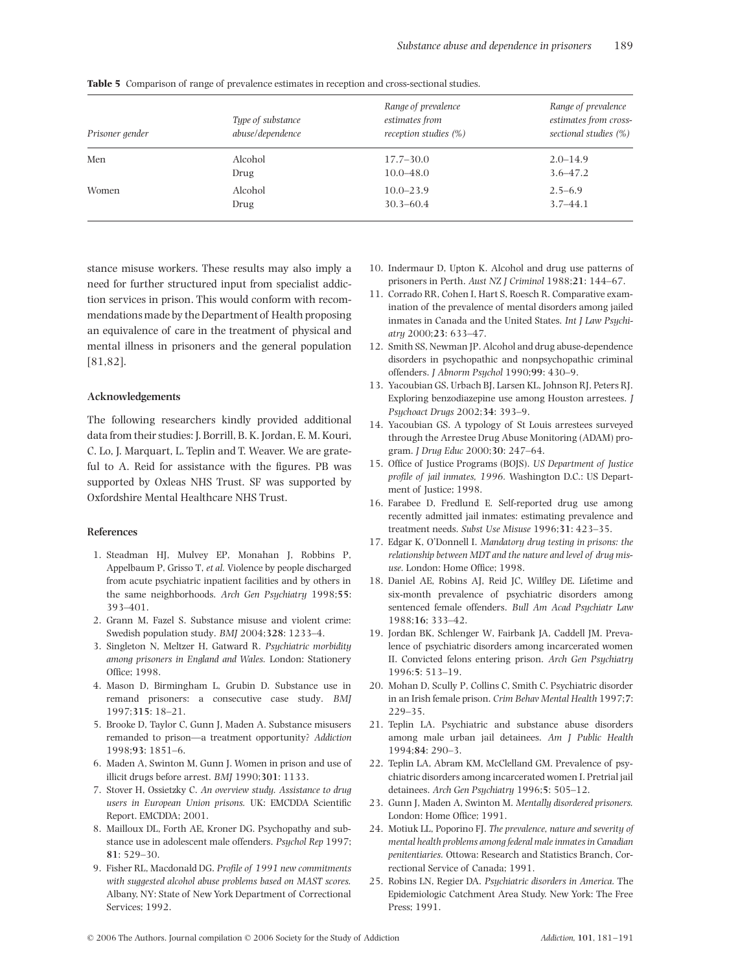| Prisoner gender | Type of substance<br>abuse/dependence | Range of prevalence<br>estimates from<br>reception studies $(\%)$ | Range of prevalence<br>estimates from cross-<br>sectional studies (%) |
|-----------------|---------------------------------------|-------------------------------------------------------------------|-----------------------------------------------------------------------|
| Men             | Alcohol                               | $17.7 - 30.0$                                                     | $2.0 - 14.9$                                                          |
|                 | Drug                                  | $10.0 - 48.0$                                                     | $3.6 - 47.2$                                                          |
| Women           | Alcohol                               | $10.0 - 23.9$                                                     | $2.5 - 6.9$                                                           |
|                 | Drug                                  | $30.3 - 60.4$                                                     | $3.7 - 44.1$                                                          |

**Table 5** Comparison of range of prevalence estimates in reception and cross-sectional studies.

stance misuse workers. These results may also imply a need for further structured input from specialist addiction services in prison. This would conform with recommendations made by the Department of Health proposing an equivalence of care in the treatment of physical and mental illness in prisoners and the general population [81,82].

#### **Acknowledgements**

The following researchers kindly provided additional data from their studies: J. Borrill, B. K. Jordan, E. M. Kouri, C. Lo, J. Marquart, L. Teplin and T. Weaver. We are grateful to A. Reid for assistance with the figures. PB was supported by Oxleas NHS Trust. SF was supported by Oxfordshire Mental Healthcare NHS Trust.

#### **References**

- 1. Steadman HJ, Mulvey EP, Monahan J, Robbins P, Appelbaum P, Grisso T, *et al.* Violence by people discharged from acute psychiatric inpatient facilities and by others in the same neighborhoods. *Arch Gen Psychiatry* 1998;**55**: 393–401.
- 2. Grann M, Fazel S. Substance misuse and violent crime: Swedish population study. *BMJ* 2004;**328**: 1233–4.
- 3. Singleton N, Meltzer H, Gatward R. *Psychiatric morbidity among prisoners in England and Wales.* London: Stationery Office; 1998.
- 4. Mason D, Birmingham L, Grubin D. Substance use in remand prisoners: a consecutive case study. *BMJ* 1997;**315**: 18–21.
- 5. Brooke D, Taylor C, Gunn J, Maden A. Substance misusers remanded to prison—a treatment opportunity? *Addiction* 1998;**93**: 1851–6.
- 6. Maden A, Swinton M, Gunn J. Women in prison and use of illicit drugs before arrest. *BMJ* 1990;**301**: 1133.
- 7. Stover H, Ossietzky C. *An overview study. Assistance to drug users in European Union prisons.* UK: EMCDDA Scientific Report. EMCDDA; 2001.
- 8. Mailloux DL, Forth AE, Kroner DG. Psychopathy and substance use in adolescent male offenders. *Psychol Rep* 1997; **81**: 529–30.
- 9. Fisher RL, Macdonald DG. *Profile of 1991 new commitments with suggested alcohol abuse problems based on MAST scores.* Albany, NY: State of New York Department of Correctional Services; 1992.
- 10. Indermaur D, Upton K. Alcohol and drug use patterns of prisoners in Perth. *Aust NZ J Criminol* 1988;**21**: 144–67.
- 11. Corrado RR, Cohen I, Hart S, Roesch R. Comparative examination of the prevalence of mental disorders among jailed inmates in Canada and the United States. *Int J Law Psychiatry* 2000;**23**: 633–47.
- 12. Smith SS, Newman JP. Alcohol and drug abuse-dependence disorders in psychopathic and nonpsychopathic criminal offenders. *J Abnorm Psychol* 1990;**99**: 430–9.
- 13. Yacoubian GS, Urbach BJ, Larsen KL, Johnson RJ, Peters RJ. Exploring benzodiazepine use among Houston arrestees. *J Psychoact Drugs* 2002;**34**: 393–9.
- 14. Yacoubian GS. A typology of St Louis arrestees surveyed through the Arrestee Drug Abuse Monitoring (ADAM) program. *J Drug Educ* 2000;**30**: 247–64.
- 15. Office of Justice Programs (BOJS). *US Department of Justice profile of jail inmates, 1996.* Washington D.C.: US Department of Justice; 1998.
- 16. Farabee D, Fredlund E. Self-reported drug use among recently admitted jail inmates: estimating prevalence and treatment needs. *Subst Use Misuse* 1996;**31**: 423–35.
- 17. Edgar K, O'Donnell I. *Mandatory drug testing in prisons: the relationship between MDT and the nature and level of drug misuse.* London: Home Office; 1998.
- 18. Daniel AE, Robins AJ, Reid JC, Wilfley DE. Lifetime and six-month prevalence of psychiatric disorders among sentenced female offenders. *Bull Am Acad Psychiatr Law* 1988;**16**; 333–42.
- 19. Jordan BK, Schlenger W, Fairbank JA, Caddell JM. Prevalence of psychiatric disorders among incarcerated women II. Convicted felons entering prison. *Arch Gen Psychiatry* 1996:**5**: 513–19.
- 20. Mohan D, Scully P, Collins C, Smith C. Psychiatric disorder in an Irish female prison. *Crim Behav Mental Health* 1997;**7**: 229–35.
- 21. Teplin LA. Psychiatric and substance abuse disorders among male urban jail detainees. *Am J Public Health* 1994;**84**: 290–3.
- 22. Teplin LA, Abram KM, McClelland GM. Prevalence of psychiatric disorders among incarcerated women I. Pretrial jail detainees. *Arch Gen Psychiatry* 1996;**5**: 505–12.
- 23. Gunn J, Maden A, Swinton M. *Mentally disordered prisoners.* London: Home Office; 1991.
- 24. Motiuk LL, Poporino FJ. *The prevalence, nature and severity of mental health problems among federal male inmates in Canadian penitentiaries.* Ottowa: Research and Statistics Branch, Correctional Service of Canada; 1991.
- 25. Robins LN, Regier DA. *Psychiatric disorders in America.* The Epidemiologic Catchment Area Study. New York: The Free Press; 1991.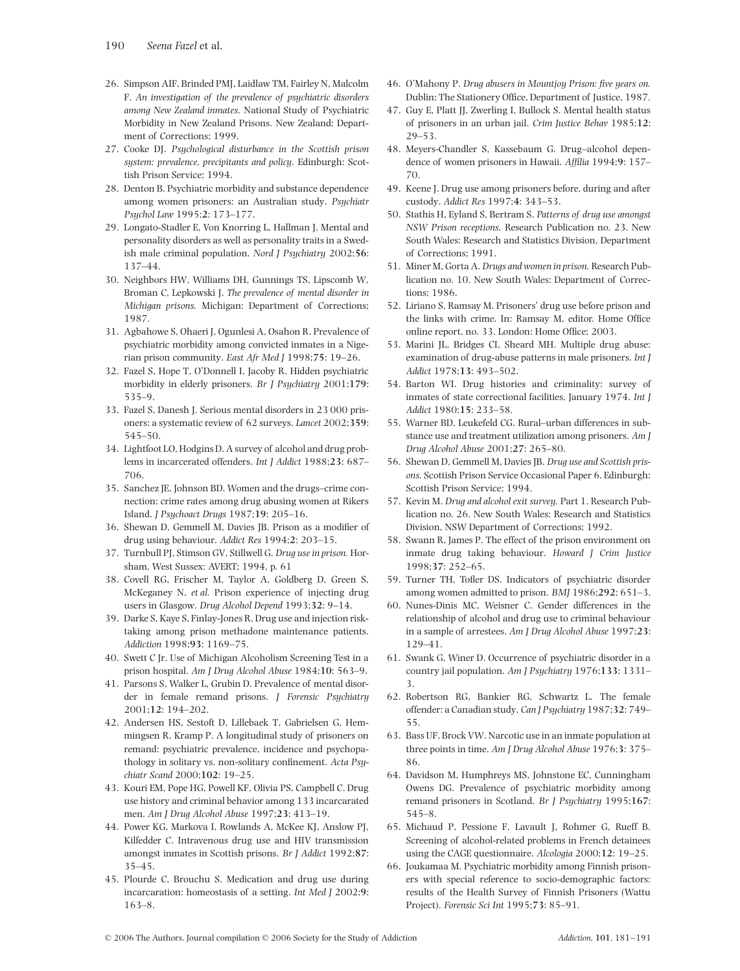- 26. Simpson AIF, Brinded PMJ, Laidlaw TM, Fairley N, Malcolm F. *An investigation of the prevalence of psychiatric disorders among New Zealand inmates.* National Study of Psychiatric Morbidity in New Zealand Prisons. New Zealand: Department of Corrections; 1999.
- 27. Cooke DJ. *Psychological disturbance in the Scottish prison system: prevalence, precipitants and policy.* Edinburgh: Scottish Prison Service; 1994.
- 28. Denton B. Psychiatric morbidity and substance dependence among women prisoners: an Australian study. *Psychiatr Psychol Law* 1995;**2**: 173–177.
- 29. Longato-Stadler E, Von Knorring L, Hallman J. Mental and personality disorders as well as personality traits in a Swedish male criminal population. *Nord J Psychiatry* 2002;**56**: 137–44.
- 30. Neighbors HW, Williams DH, Gunnings TS, Lipscomb W, Broman C, Lepkowski J. *The prevalence of mental disorder in Michigan prisons.* Michigan: Department of Corrections; 1987.
- 31. Agbahowe S, Ohaeri J, Ogunlesi A, Osahon R. Prevalence of psychiatric morbidity among convicted inmates in a Nigerian prison community. *East Afr Med J* 1998;**75**: 19–26.
- 32. Fazel S, Hope T, O'Donnell I, Jacoby R. Hidden psychiatric morbidity in elderly prisoners. *Br J Psychiatry* 2001;**179**: 535–9.
- 33. Fazel S, Danesh J. Serious mental disorders in 23 000 prisoners: a systematic review of 62 surveys. *Lancet* 2002;**359**: 545–50.
- 34. Lightfoot LO, Hodgins D. A survey of alcohol and drug problems in incarcerated offenders. *Int J Addict* 1988;**23**: 687– 706.
- 35. Sanchez JE, Johnson BD. Women and the drugs–crime connection: crime rates among drug abusing women at Rikers Island. *J Psychoact Drugs* 1987;**19**: 205–16.
- 36. Shewan D, Gemmell M, Davies JB. Prison as a modifier of drug using behaviour. *Addict Res* 1994;**2**: 203–15.
- 37. Turnbull PJ, Stimson GV, Stillwell G. *Drug use in prison.* Horsham, West Sussex: AVERT; 1994, p. 61
- 38. Covell RG, Frischer M, Taylor A, Goldberg D, Green S, McKeganey N, *et al.* Prison experience of injecting drug users in Glasgow. *Drug Alcohol Depend* 1993;**32**: 9–14.
- 39. Darke S, Kaye S, Finlay-Jones R. Drug use and injection risktaking among prison methadone maintenance patients. *Addiction* 1998;**93**: 1169–75.
- 40. Swett C Jr. Use of Michigan Alcoholism Screening Test in a prison hospital. *Am J Drug Alcohol Abuse* 1984;**10**: 563–9.
- 41. Parsons S, Walker L, Grubin D. Prevalence of mental disorder in female remand prisons. *J Forensic Psychiatry* 2001;**12**: 194–202.
- 42. Andersen HS, Sestoft D, Lillebaek T, Gabrielsen G, Hemmingsen R, Kramp P. A longitudinal study of prisoners on remand: psychiatric prevalence, incidence and psychopathology in solitary vs. non-solitary confinement. *Acta Psychiatr Scand* 2000;**102**: 19–25.
- 43. Kouri EM, Pope HG, Powell KF, Olivia PS, Campbell C. Drug use history and criminal behavior among 133 incarcarated men. *Am J Drug Alcohol Abuse* 1997;**23**: 413–19.
- 44. Power KG, Markova I, Rowlands A, McKee KJ, Anslow PJ, Kilfedder C. Intravenous drug use and HIV transmission amongst inmates in Scottish prisons. *Br J Addict* 1992;**87**: 35–45.
- 45. Plourde C, Brouchu S. Medication and drug use during incarcaration: homeostasis of a setting. *Int Med J* 2002;**9**: 163–8.
- 46. O'Mahony P. *Drug abusers in Mountjoy Prison: five years on.* Dublin: The Stationery Office, Department of Justice, 1987.
- 47. Guy E, Platt JJ, Zwerling I, Bullock S. Mental health status of prisoners in an urban jail. *Crim Justice Behav* 1985;**12**: 29–53.
- 48. Meyers-Chandler S, Kassebaum G. Drug–alcohol dependence of women prisoners in Hawaii. *Affilia* 1994;**9**: 157– 70.
- 49. Keene J. Drug use among prisoners before, during and after custody. *Addict Res* 1997;**4**: 343–53.
- 50. Stathis H, Eyland S, Bertram S. *Patterns of drug use amongst NSW Prison receptions.* Research Publication no. 23. New South Wales: Research and Statistics Division, Department of Corrections; 1991.
- 51. Miner M, Gorta A. *Drugs and women in prison.* Research Publication no. 10. New South Wales: Department of Corrections; 1986.
- 52. Liriano S, Ramsay M. Prisoners' drug use before prison and the links with crime. In: Ramsay M, editor. Home Office online report, no. 33. London: Home Office; 2003.
- 53. Marini JL, Bridges CI, Sheard MH. Multiple drug abuse: examination of drug-abuse patterns in male prisoners. *Int J Addict* 1978;**13**: 493–502.
- 54. Barton WI. Drug histories and criminality: survey of inmates of state correctional facilities, January 1974. *Int J Addict* 1980;**15**: 233–58.
- 55. Warner BD, Leukefeld CG. Rural–urban differences in substance use and treatment utilization among prisoners. *Am J Drug Alcohol Abuse* 2001;**27**: 265–80.
- 56. Shewan D, Gemmell M, Davies JB. *Drug use and Scottish prisons.* Scottish Prison Service Occasional Paper 6. Edinburgh: Scottish Prison Service; 1994.
- 57. Kevin M. *Drug and alcohol exit survey.* Part 1. Research Publication no. 26. New South Wales: Research and Statistics Division, NSW Department of Corrections; 1992.
- 58. Swann R, James P. The effect of the prison environment on inmate drug taking behaviour. *Howard J Crim Justice* 1998;**37**: 252–65.
- 59. Turner TH, Tofler DS. Indicators of psychiatric disorder among women admitted to prison. *BMJ* 1986;**292**: 651–3.
- 60. Nunes-Dinis MC, Weisner C. Gender differences in the relationship of alcohol and drug use to criminal behaviour in a sample of arrestees. *Am J Drug Alcohol Abuse* 1997;**23**: 129–41.
- 61. Swank G, Winer D. Occurrence of psychiatric disorder in a country jail population. *Am J Psychiatry* 1976;**133**: 1331– 3.
- 62. Robertson RG, Bankier RG, Schwartz L. The female offender: a Canadian study. *Can J Psychiatry* 1987;**32**: 749– 55.
- 63. Bass UF, Brock VW. Narcotic use in an inmate population at three points in time. *Am J Drug Alcohol Abuse* 1976;**3**: 375– 86.
- 64. Davidson M, Humphreys MS, Johnstone EC, Cunningham Owens DG. Prevalence of psychiatric morbidity among remand prisoners in Scotland. *Br J Psychiatry* 1995;**167**: 545–8.
- 65. Michaud P, Pessione F, Lavault J, Rohmer G, Rueff B. Screening of alcohol-related problems in French detainees using the CAGE questionnaire. *Alcologia* 2000;**12**: 19–25.
- 66. Joukamaa M. Psychiatric morbidity among Finnish prisoners with special reference to socio-demographic factors: results of the Health Survey of Finnish Prisoners (Wattu Project). *Forensic Sci Int* 1995;**73**: 85–91.